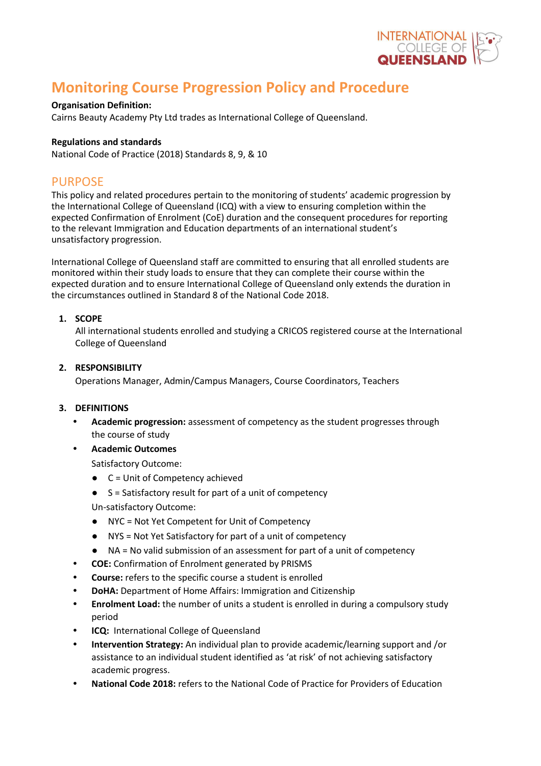

# **Monitoring Course Progression Policy and Procedure**

### **Organisation Definition:**

Cairns Beauty Academy Pty Ltd trades as International College of Queensland.

### **Regulations and standards**

National Code of Practice (2018) Standards 8, 9, & 10

### PURPOSE

This policy and related procedures pertain to the monitoring of students' academic progression by the International College of Queensland (ICQ) with a view to ensuring completion within the expected Confirmation of Enrolment (CoE) duration and the consequent procedures for reporting to the relevant Immigration and Education departments of an international student's unsatisfactory progression.

International College of Queensland staff are committed to ensuring that all enrolled students are monitored within their study loads to ensure that they can complete their course within the expected duration and to ensure International College of Queensland only extends the duration in the circumstances outlined in Standard 8 of the National Code 2018.

### **1. SCOPE**

All international students enrolled and studying a CRICOS registered course at the International College of Queensland

### **2. RESPONSIBILITY**

Operations Manager, Admin/Campus Managers, Course Coordinators, Teachers

### **3. DEFINITIONS**

- **• Academic progression:** assessment of competency as the student progresses through the course of study
- **• Academic Outcomes**

Satisfactory Outcome:

- C = Unit of Competency achieved
- $S =$  Satisfactory result for part of a unit of competency

Un-satisfactory Outcome:

- NYC = Not Yet Competent for Unit of Competency
- NYS = Not Yet Satisfactory for part of a unit of competency
- NA = No valid submission of an assessment for part of a unit of competency
- **• COE:** Confirmation of Enrolment generated by PRISMS
- **• Course:** refers to the specific course a student is enrolled
- **• DoHA:** Department of Home Affairs: Immigration and Citizenship
- **• Enrolment Load:** the number of units a student is enrolled in during a compulsory study period
- **• ICQ:** International College of Queensland
- **• Intervention Strategy:** An individual plan to provide academic/learning support and /or assistance to an individual student identified as 'at risk' of not achieving satisfactory academic progress.
- **• National Code 2018:** refers to the National Code of Practice for Providers of Education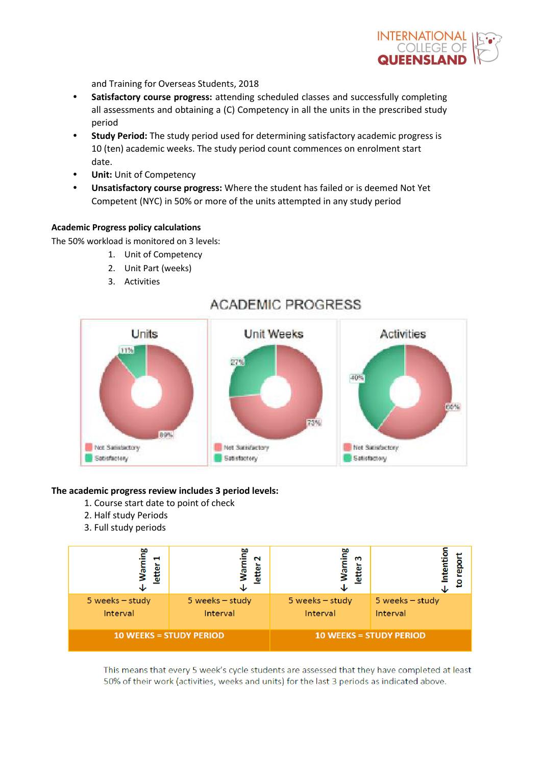INTERNATIONAL<br>COLLEGE OF<br>QUEENSLAND

and Training for Overseas Students, 2018

- **• Satisfactory course progress:** attending scheduled classes and successfully completing all assessments and obtaining a (C) Competency in all the units in the prescribed study period
- **• Study Period:** The study period used for determining satisfactory academic progress is 10 (ten) academic weeks. The study period count commences on enrolment start date.
- **• Unit:** Unit of Competency
- **• Unsatisfactory course progress:** Where the student has failed or is deemed Not Yet Competent (NYC) in 50% or more of the units attempted in any study period

#### **Academic Progress policy calculations**

The 50% workload is monitored on 3 levels:

- 1. Unit of Competency
- 2. Unit Part (weeks)
- 3. Activities



## **ACADEMIC PROGRESS**

### **The academic progress review includes 3 period levels:**

- 1. Course start date to point of check
- 2. Half study Periods
- 3. Full study periods



This means that every 5 week's cycle students are assessed that they have completed at least 50% of their work (activities, weeks and units) for the last 3 periods as indicated above.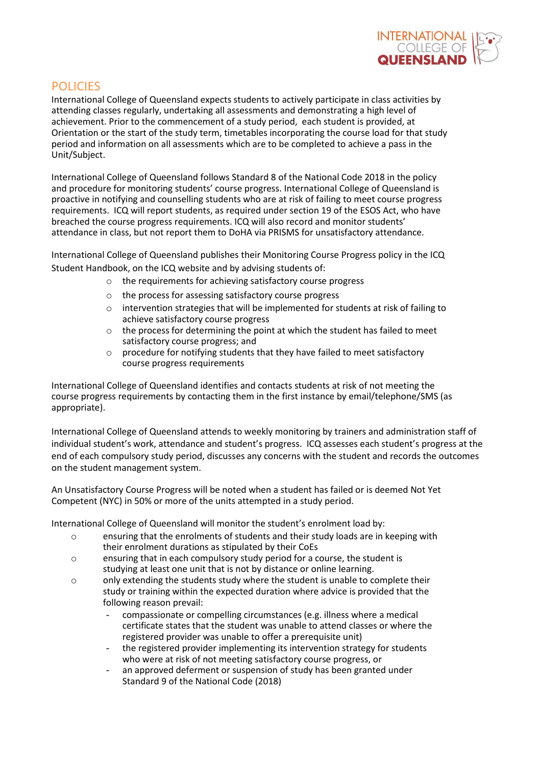

### POLICIES

International College of Queensland expects students to actively participate in class activities by attending classes regularly, undertaking all assessments and demonstrating a high level of achievement. Prior to the commencement of a study period, each student is provided, at Orientation or the start of the study term, timetables incorporating the course load for that study period and information on all assessments which are to be completed to achieve a pass in the Unit/Subject.

International College of Queensland follows Standard 8 of the National Code 2018 in the policy and procedure for monitoring students' course progress. International College of Queensland is proactive in notifying and counselling students who are at risk of failing to meet course progress requirements. ICQ will report students, as required under section 19 of the ESOS Act, who have breached the course progress requirements. ICQ will also record and monitor students' attendance in class, but not report them to DoHA via PRISMS for unsatisfactory attendance.

International College of Queensland publishes their Monitoring Course Progress policy in the ICQ Student Handbook, on the ICQ website and by advising students of:

- o the requirements for achieving satisfactory course progress
- o the process for assessing satisfactory course progress
- $\circ$  intervention strategies that will be implemented for students at risk of failing to achieve satisfactory course progress
- o the process for determining the point at which the student has failed to meet satisfactory course progress; and
- $\circ$  procedure for notifying students that they have failed to meet satisfactory course progress requirements

International College of Queensland identifies and contacts students at risk of not meeting the course progress requirements by contacting them in the first instance by email/telephone/SMS (as appropriate).

International College of Queensland attends to weekly monitoring by trainers and administration staff of individual student's work, attendance and student's progress. ICQ assesses each student's progress at the end of each compulsory study period, discusses any concerns with the student and records the outcomes on the student management system.

An Unsatisfactory Course Progress will be noted when a student has failed or is deemed Not Yet Competent (NYC) in 50% or more of the units attempted in a study period.

International College of Queensland will monitor the student's enrolment load by:

- o ensuring that the enrolments of students and their study loads are in keeping with their enrolment durations as stipulated by their CoEs
- o ensuring that in each compulsory study period for a course, the student is studying at least one unit that is not by distance or online learning.
- o only extending the students study where the student is unable to complete their study or training within the expected duration where advice is provided that the following reason prevail:
	- compassionate or compelling circumstances (e.g. illness where a medical certificate states that the student was unable to attend classes or where the registered provider was unable to offer a prerequisite unit)
	- the registered provider implementing its intervention strategy for students who were at risk of not meeting satisfactory course progress, or
	- an approved deferment or suspension of study has been granted under Standard 9 of the National Code (2018)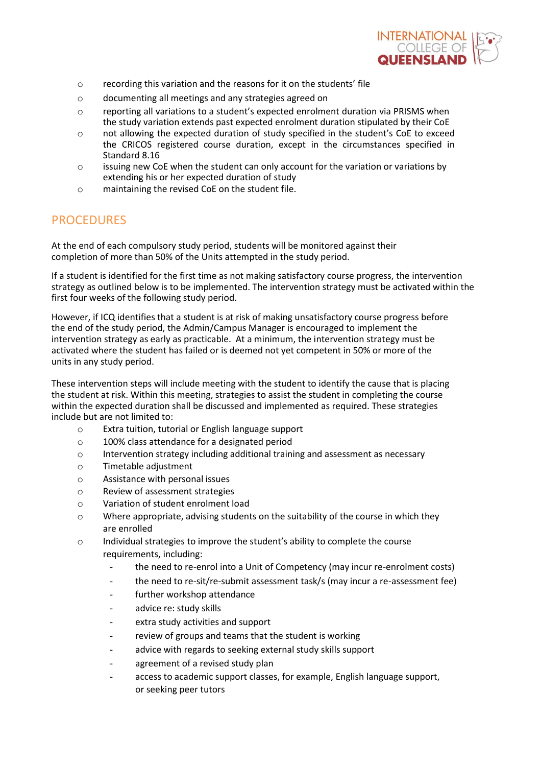

- o recording this variation and the reasons for it on the students' file
- o documenting all meetings and any strategies agreed on
- o reporting all variations to a student's expected enrolment duration via PRISMS when the study variation extends past expected enrolment duration stipulated by their CoE
- o not allowing the expected duration of study specified in the student's CoE to exceed the CRICOS registered course duration, except in the circumstances specified in Standard 8.16
- $\circ$  issuing new CoE when the student can only account for the variation or variations by extending his or her expected duration of study
- o maintaining the revised CoE on the student file.

### PROCEDURES

At the end of each compulsory study period, students will be monitored against their completion of more than 50% of the Units attempted in the study period.

If a student is identified for the first time as not making satisfactory course progress, the intervention strategy as outlined below is to be implemented. The intervention strategy must be activated within the first four weeks of the following study period.

However, if ICQ identifies that a student is at risk of making unsatisfactory course progress before the end of the study period, the Admin/Campus Manager is encouraged to implement the intervention strategy as early as practicable. At a minimum, the intervention strategy must be activated where the student has failed or is deemed not yet competent in 50% or more of the units in any study period.

These intervention steps will include meeting with the student to identify the cause that is placing the student at risk. Within this meeting, strategies to assist the student in completing the course within the expected duration shall be discussed and implemented as required. These strategies include but are not limited to:

- o Extra tuition, tutorial or English language support
- o 100% class attendance for a designated period
- $\circ$  Intervention strategy including additional training and assessment as necessary
- o Timetable adjustment
- o Assistance with personal issues
- o Review of assessment strategies
- o Variation of student enrolment load
- o Where appropriate, advising students on the suitability of the course in which they are enrolled
- o Individual strategies to improve the student's ability to complete the course requirements, including:
	- the need to re-enrol into a Unit of Competency (may incur re-enrolment costs)
	- the need to re-sit/re-submit assessment task/s (may incur a re-assessment fee)
	- further workshop attendance
	- advice re: study skills
	- extra study activities and support
	- review of groups and teams that the student is working
	- advice with regards to seeking external study skills support
	- agreement of a revised study plan
	- access to academic support classes, for example, English language support, or seeking peer tutors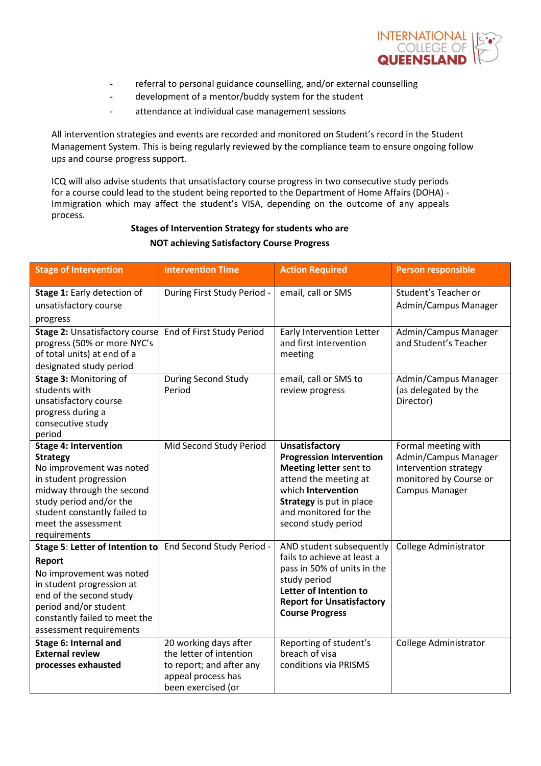

- referral to personal guidance counselling, and/or external counselling
- development of a mentor/buddy system for the student
- attendance at individual case management sessions

All intervention strategies and events are recorded and monitored on Student's record in the Student Management System. This is being regularly reviewed by the compliance team to ensure ongoing follow ups and course progress support.

ICQ will also advise students that unsatisfactory course progress in two consecutive study periods for a course could lead to the student being reported to the Department of Home Affairs (DOHA) - Immigration which may affect the student's VISA, depending on the outcome of any appeals process.

### **Stages of Intervention Strategy for students who are NOT achieving Satisfactory Course Progress**

| <b>Stage of Intervention</b>                                                                                                                                                                                                         | <b>Intervention Time</b><br><b>Action Required</b>                                                                       |                                                                                                                                                                                                                      | <b>Person responsible</b>                                                                                               |
|--------------------------------------------------------------------------------------------------------------------------------------------------------------------------------------------------------------------------------------|--------------------------------------------------------------------------------------------------------------------------|----------------------------------------------------------------------------------------------------------------------------------------------------------------------------------------------------------------------|-------------------------------------------------------------------------------------------------------------------------|
| Stage 1: Early detection of<br>unsatisfactory course<br>progress                                                                                                                                                                     | During First Study Period -                                                                                              | email, call or SMS                                                                                                                                                                                                   | Student's Teacher or<br>Admin/Campus Manager                                                                            |
| <b>Stage 2: Unsatisfactory course</b><br>progress (50% or more NYC's<br>of total units) at end of a<br>designated study period                                                                                                       | End of First Study Period                                                                                                | Early Intervention Letter<br>and first intervention<br>meeting                                                                                                                                                       | Admin/Campus Manager<br>and Student's Teacher                                                                           |
| Stage 3: Monitoring of<br>students with<br>unsatisfactory course<br>progress during a<br>consecutive study<br>period                                                                                                                 | During Second Study<br>Period                                                                                            | email, call or SMS to<br>review progress                                                                                                                                                                             | Admin/Campus Manager<br>(as delegated by the<br>Director)                                                               |
| <b>Stage 4: Intervention</b><br><b>Strategy</b><br>No improvement was noted<br>in student progression<br>midway through the second<br>study period and/or the<br>student constantly failed to<br>meet the assessment<br>requirements | Mid Second Study Period                                                                                                  | <b>Unsatisfactory</b><br><b>Progression Intervention</b><br>Meeting letter sent to<br>attend the meeting at<br>which Intervention<br><b>Strategy</b> is put in place<br>and monitored for the<br>second study period | Formal meeting with<br>Admin/Campus Manager<br>Intervention strategy<br>monitored by Course or<br><b>Campus Manager</b> |
| Stage 5: Letter of Intention to<br>Report<br>No improvement was noted<br>in student progression at<br>end of the second study<br>period and/or student<br>constantly failed to meet the<br>assessment requirements                   | End Second Study Period -                                                                                                | AND student subsequently<br>fails to achieve at least a<br>pass in 50% of units in the<br>study period<br>Letter of Intention to<br><b>Report for Unsatisfactory</b><br><b>Course Progress</b>                       | College Administrator                                                                                                   |
| Stage 6: Internal and<br><b>External review</b><br>processes exhausted                                                                                                                                                               | 20 working days after<br>the letter of intention<br>to report; and after any<br>appeal process has<br>been exercised (or | Reporting of student's<br>breach of visa<br>conditions via PRISMS                                                                                                                                                    | College Administrator                                                                                                   |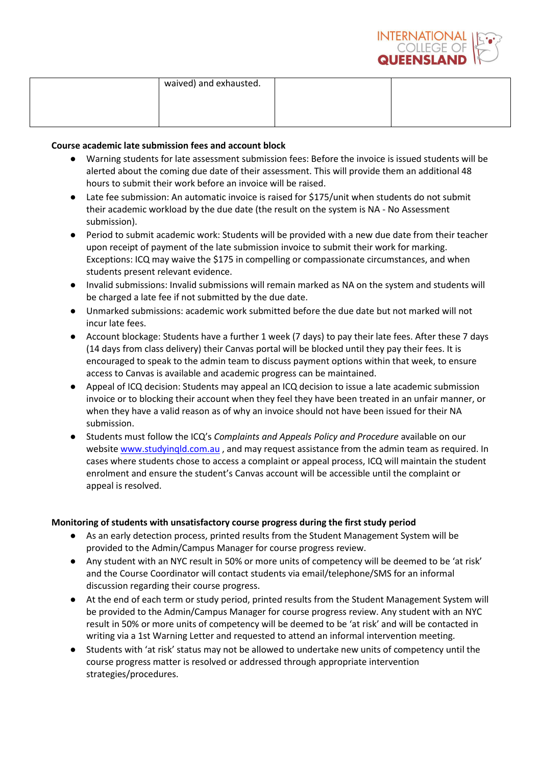

| waived) and exhausted. |  |
|------------------------|--|
|                        |  |
|                        |  |

### **Course academic late submission fees and account block**

- Warning students for late assessment submission fees: Before the invoice is issued students will be alerted about the coming due date of their assessment. This will provide them an additional 48 hours to submit their work before an invoice will be raised.
- Late fee submission: An automatic invoice is raised for \$175/unit when students do not submit their academic workload by the due date (the result on the system is NA - No Assessment submission).
- Period to submit academic work: Students will be provided with a new due date from their teacher upon receipt of payment of the late submission invoice to submit their work for marking. Exceptions: ICQ may waive the \$175 in compelling or compassionate circumstances, and when students present relevant evidence.
- Invalid submissions: Invalid submissions will remain marked as NA on the system and students will be charged a late fee if not submitted by the due date.
- Unmarked submissions: academic work submitted before the due date but not marked will not incur late fees.
- Account blockage: Students have a further 1 week (7 days) to pay their late fees. After these 7 days (14 days from class delivery) their Canvas portal will be blocked until they pay their fees. It is encouraged to speak to the admin team to discuss payment options within that week, to ensure access to Canvas is available and academic progress can be maintained.
- Appeal of ICQ decision: Students may appeal an ICQ decision to issue a late academic submission invoice or to blocking their account when they feel they have been treated in an unfair manner, or when they have a valid reason as of why an invoice should not have been issued for their NA submission.
- Students must follow the ICQ's *Complaints and Appeals Policy and Procedure* available on our website www.studyingld.com.au, and may request assistance from the admin team as required. In cases where students chose to access a complaint or appeal process, ICQ will maintain the student enrolment and ensure the student's Canvas account will be accessible until the complaint or appeal is resolved.

### **Monitoring of students with unsatisfactory course progress during the first study period**

- As an early detection process, printed results from the Student Management System will be provided to the Admin/Campus Manager for course progress review.
- Any student with an NYC result in 50% or more units of competency will be deemed to be 'at risk' and the Course Coordinator will contact students via email/telephone/SMS for an informal discussion regarding their course progress.
- At the end of each term or study period, printed results from the Student Management System will be provided to the Admin/Campus Manager for course progress review. Any student with an NYC result in 50% or more units of competency will be deemed to be 'at risk' and will be contacted in writing via a 1st Warning Letter and requested to attend an informal intervention meeting.
- Students with 'at risk' status may not be allowed to undertake new units of competency until the course progress matter is resolved or addressed through appropriate intervention strategies/procedures.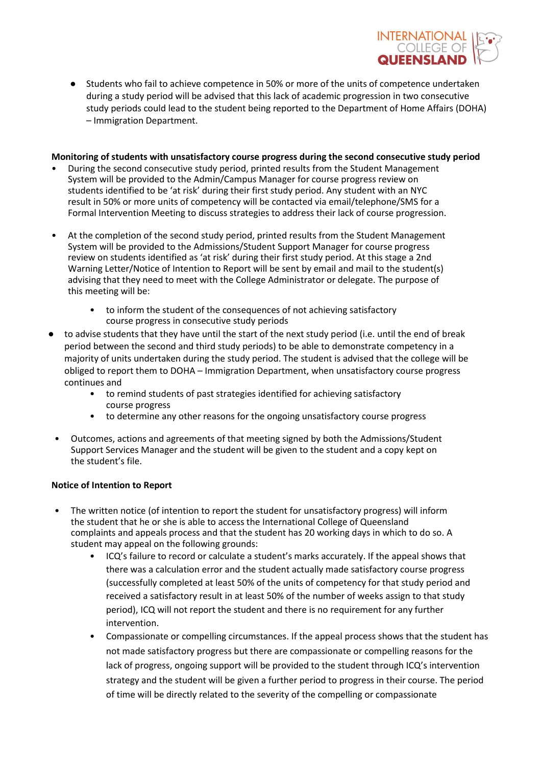

● Students who fail to achieve competence in 50% or more of the units of competence undertaken during a study period will be advised that this lack of academic progression in two consecutive study periods could lead to the student being reported to the Department of Home Affairs (DOHA) – Immigration Department.

#### **Monitoring of students with unsatisfactory course progress during the second consecutive study period**

- During the second consecutive study period, printed results from the Student Management System will be provided to the Admin/Campus Manager for course progress review on students identified to be 'at risk' during their first study period. Any student with an NYC result in 50% or more units of competency will be contacted via email/telephone/SMS for a Formal Intervention Meeting to discuss strategies to address their lack of course progression.
- At the completion of the second study period, printed results from the Student Management System will be provided to the Admissions/Student Support Manager for course progress review on students identified as 'at risk' during their first study period. At this stage a 2nd Warning Letter/Notice of Intention to Report will be sent by email and mail to the student(s) advising that they need to meet with the College Administrator or delegate. The purpose of this meeting will be:
	- to inform the student of the consequences of not achieving satisfactory course progress in consecutive study periods
- to advise students that they have until the start of the next study period (i.e. until the end of break period between the second and third study periods) to be able to demonstrate competency in a majority of units undertaken during the study period. The student is advised that the college will be obliged to report them to DOHA – Immigration Department, when unsatisfactory course progress continues and
	- to remind students of past strategies identified for achieving satisfactory course progress
	- to determine any other reasons for the ongoing unsatisfactory course progress
- Outcomes, actions and agreements of that meeting signed by both the Admissions/Student Support Services Manager and the student will be given to the student and a copy kept on the student's file.

### **Notice of Intention to Report**

- The written notice (of intention to report the student for unsatisfactory progress) will inform the student that he or she is able to access the International College of Queensland complaints and appeals process and that the student has 20 working days in which to do so. A student may appeal on the following grounds:
	- ICQ's failure to record or calculate a student's marks accurately. If the appeal shows that there was a calculation error and the student actually made satisfactory course progress (successfully completed at least 50% of the units of competency for that study period and received a satisfactory result in at least 50% of the number of weeks assign to that study period), ICQ will not report the student and there is no requirement for any further intervention.
	- Compassionate or compelling circumstances. If the appeal process shows that the student has not made satisfactory progress but there are compassionate or compelling reasons for the lack of progress, ongoing support will be provided to the student through ICQ's intervention strategy and the student will be given a further period to progress in their course. The period of time will be directly related to the severity of the compelling or compassionate